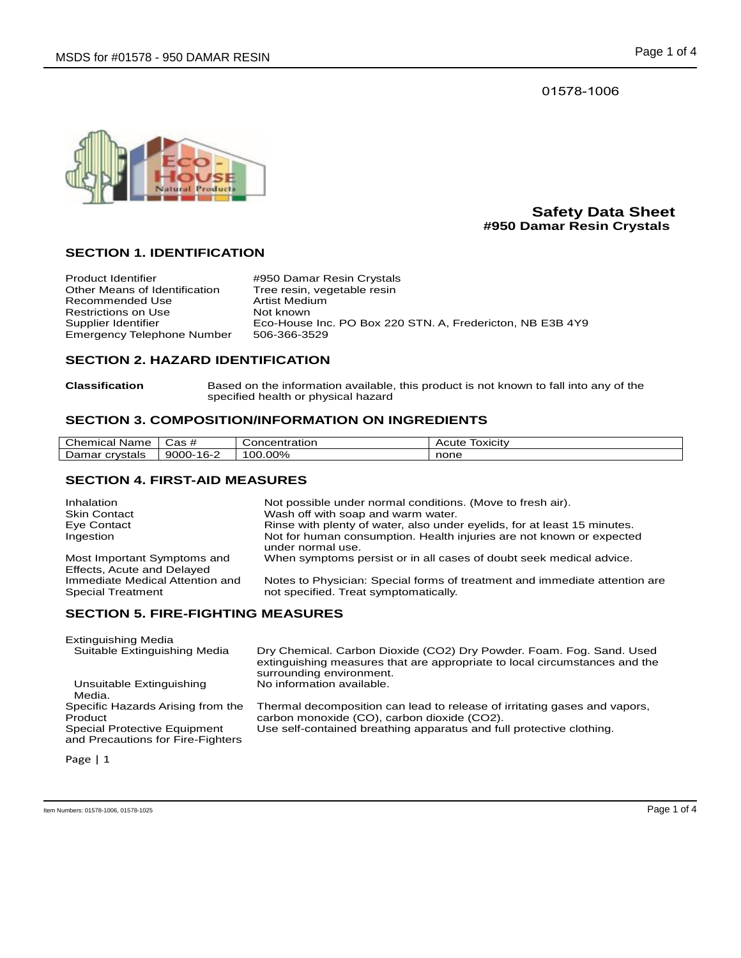01578-1006



## **Safety Data Sheet #950 Damar Resin Crystals**

## **SECTION 1. IDENTIFICATION**

| <b>Product Identifier</b>         | #950 Damar Resin Crystals                                 |
|-----------------------------------|-----------------------------------------------------------|
| Other Means of Identification     | Tree resin, vegetable resin                               |
| Recommended Use                   | Artist Medium                                             |
| Restrictions on Use               | Not known                                                 |
| Supplier Identifier               | Eco-House Inc. PO Box 220 STN. A, Fredericton, NB E3B 4Y9 |
| <b>Emergency Telephone Number</b> | 506-366-3529                                              |

# **SECTION 2. HAZARD IDENTIFICATION**

**Classification** Based on the information available, this product is not known to fall into any of the specified health or physical hazard

## **SECTION 3. COMPOSITION/INFORMATION ON INGREDIENTS**

| Chemical<br>Name  | Cas #           | Concentration | Acute<br>TOXICItV |
|-------------------|-----------------|---------------|-------------------|
| Damar<br>crvstals | $9000 -$<br>-16 | $'00.00\%$    | none              |

#### **SECTION 4. FIRST-AID MEASURES**

| Inhalation<br><b>Skin Contact</b>                           | Not possible under normal conditions. (Move to fresh air).<br>Wash off with soap and warm water.                    |
|-------------------------------------------------------------|---------------------------------------------------------------------------------------------------------------------|
| Eye Contact                                                 | Rinse with plenty of water, also under eyelids, for at least 15 minutes.                                            |
| Ingestion                                                   | Not for human consumption. Health injuries are not known or expected<br>under normal use.                           |
| Most Important Symptoms and<br>Effects, Acute and Delayed   | When symptoms persist or in all cases of doubt seek medical advice.                                                 |
| Immediate Medical Attention and<br><b>Special Treatment</b> | Notes to Physician: Special forms of treatment and immediate attention are<br>not specified. Treat symptomatically. |

## **SECTION 5. FIRE-FIGHTING MEASURES**

| Extinguishing Media<br>Suitable Extinguishing Media                                                               | Dry Chemical. Carbon Dioxide (CO2) Dry Powder. Foam. Fog. Sand. Used<br>extinguishing measures that are appropriate to local circumstances and the<br>surrounding environment.                   |
|-------------------------------------------------------------------------------------------------------------------|--------------------------------------------------------------------------------------------------------------------------------------------------------------------------------------------------|
| Unsuitable Extinguishing<br>Media.                                                                                | No information available.                                                                                                                                                                        |
| Specific Hazards Arising from the<br>Product<br>Special Protective Equipment<br>and Precautions for Fire-Fighters | Thermal decomposition can lead to release of irritating gases and vapors,<br>carbon monoxide (CO), carbon dioxide (CO2).<br>Use self-contained breathing apparatus and full protective clothing. |

Page | 1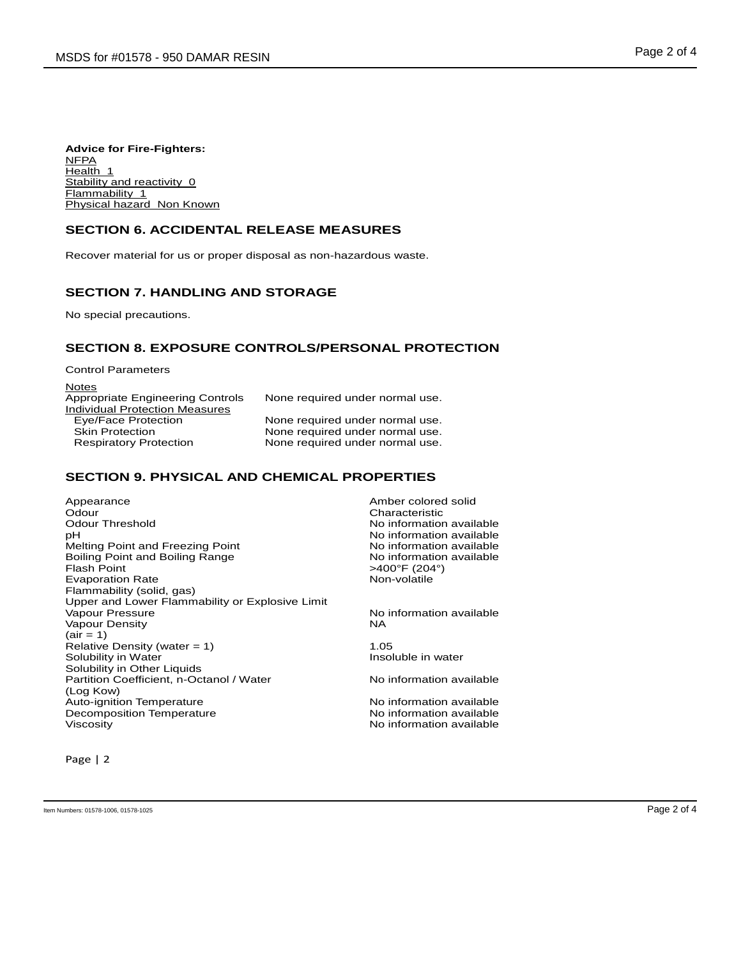**Advice for Fire-Fighters:** NFPA Health<sub>1</sub> Stability and reactivity 0 Flammability 1 Physical hazard Non Known

### **SECTION 6. ACCIDENTAL RELEASE MEASURES**

Recover material for us or proper disposal as non-hazardous waste.

## **SECTION 7. HANDLING AND STORAGE**

No special precautions.

## **SECTION 8. EXPOSURE CONTROLS/PERSONAL PROTECTION**

| <b>Control Parameters</b>             |                                 |
|---------------------------------------|---------------------------------|
| <b>Notes</b>                          |                                 |
| Appropriate Engineering Controls      | None required under normal use. |
| <b>Individual Protection Measures</b> |                                 |
| Eye/Face Protection                   | None required under normal use. |
| <b>Skin Protection</b>                | None required under normal use. |
| <b>Respiratory Protection</b>         | None required under normal use. |
|                                       |                                 |

## **SECTION 9. PHYSICAL AND CHEMICAL PROPERTIES**

Appearance and the Amber colored solid<br>
Amber colored solid<br>
Odour Odour Characteristic pH<br>Mo information available<br>Mo information available<br>Mo information available Melting Point and Freezing Point **No information available**<br>
Boiling Point and Boiling Range **No information available** Boiling Point and Boiling Range<br>Flash Point Evaporation Rate **Non-volatile** Non-volatile Flammability (solid, gas) Upper and Lower Flammability or Explosive Limit Vapour Density  $(air = 1)$ Relative Density (water = 1) 1.05<br>Solubility in Water 1.05<br>Solubility in Water Solubility in Water Solubility in Other Liquids Partition Coefficient, n-Octanol / Water (Log Kow) Auto-ignition Temperature<br>
Decomposition Temperature<br>
No information available Decomposition Temperature<br>Viscosity

No information available  $>400^{\circ}$ F (204°)

No information available NA

No information available

No information available

Page | 2

Item Numbers: 01578-1006, 01578-1025 Page 2 of 4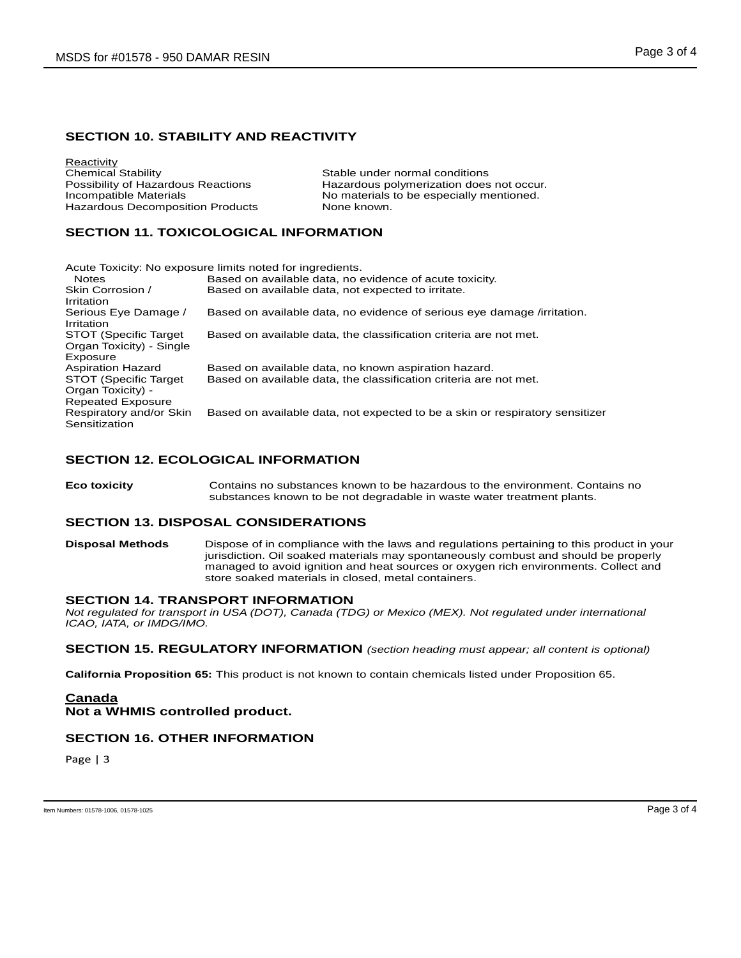## **SECTION 10. STABILITY AND REACTIVITY**

**Reactivity**<br>Chemical Stability Chemical Stability<br>
Possibility of Hazardous Reactions<br>
Hazardous polymerization does Hazardous Decomposition Products None known.

Possibility of Hazardous Reactions **Hazardous polymerization does not occur.**<br>
No materials to be especially mentioned. No materials to be especially mentioned.

## **SECTION 11. TOXICOLOGICAL INFORMATION**

| Acute Toxicity: No exposure limits noted for ingredients.                      |                                                                              |  |
|--------------------------------------------------------------------------------|------------------------------------------------------------------------------|--|
| <b>Notes</b>                                                                   | Based on available data, no evidence of acute toxicity.                      |  |
| Skin Corrosion /<br>Irritation                                                 | Based on available data, not expected to irritate.                           |  |
| Serious Eye Damage /<br>Irritation                                             | Based on available data, no evidence of serious eye damage /irritation.      |  |
| STOT (Specific Target)<br>Organ Toxicity) - Single<br>Exposure                 | Based on available data, the classification criteria are not met.            |  |
| <b>Aspiration Hazard</b>                                                       | Based on available data, no known aspiration hazard.                         |  |
| <b>STOT (Specific Target)</b><br>Organ Toxicity) -<br><b>Repeated Exposure</b> | Based on available data, the classification criteria are not met.            |  |
| Respiratory and/or Skin<br>Sensitization                                       | Based on available data, not expected to be a skin or respiratory sensitizer |  |

## **SECTION 12. ECOLOGICAL INFORMATION**

**Eco toxicity** Contains no substances known to be hazardous to the environment. Contains no substances known to be not degradable in waste water treatment plants.

#### **SECTION 13. DISPOSAL CONSIDERATIONS**

**Disposal Methods** Dispose of in compliance with the laws and regulations pertaining to this product in your jurisdiction. Oil soaked materials may spontaneously combust and should be properly managed to avoid ignition and heat sources or oxygen rich environments. Collect and store soaked materials in closed, metal containers.

#### **SECTION 14. TRANSPORT INFORMATION**

*Not regulated for transport in USA (DOT), Canada (TDG) or Mexico (MEX). Not regulated under international ICAO, IATA, or IMDG/IMO.*

**SECTION 15. REGULATORY INFORMATION** *(section heading must appear; all content is optional)*

**California Proposition 65:** This product is not known to contain chemicals listed under Proposition 65.

## **Canada Not a WHMIS controlled product.**

#### **SECTION 16. OTHER INFORMATION**

Page | 3